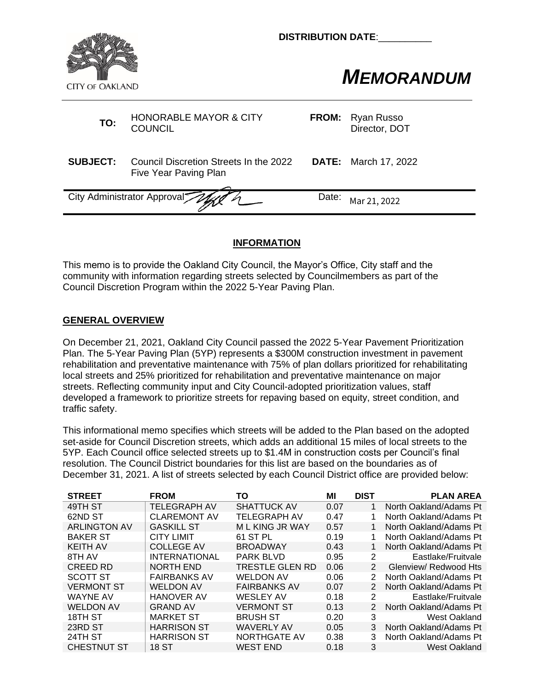

**DISTRIBUTION DATE:** 

## **MEMORANDUM**<br>CITY OF OAKLAND

| TO:             | <b>HONORABLE MAYOR &amp; CITY</b><br><b>COUNCIL</b>             | <b>FROM:</b> | Ryan Russo<br>Director, DOT |
|-----------------|-----------------------------------------------------------------|--------------|-----------------------------|
| <b>SUBJECT:</b> | Council Discretion Streets In the 2022<br>Five Year Paving Plan |              | <b>DATE:</b> March 17, 2022 |
|                 | City Administrator Approval                                     | Date:        | Mar 21, 2022                |
|                 |                                                                 |              |                             |

## **INFORMATION**

This memo is to provide the Oakland City Council, the Mayor's Office, City staff and the community with information regarding streets selected by Councilmembers as part of the Council Discretion Program within the 2022 5-Year Paving Plan.

## **GENERAL OVERVIEW**

On December 21, 2021, Oakland City Council passed the 2022 5-Year Pavement Prioritization Plan. The 5-Year Paving Plan (5YP) represents a \$300M construction investment in pavement rehabilitation and preventative maintenance with 75% of plan dollars prioritized for rehabilitating local streets and 25% prioritized for rehabilitation and preventative maintenance on major streets. Reflecting community input and City Council-adopted prioritization values, staff developed a framework to prioritize streets for repaving based on equity, street condition, and traffic safety.

This informational memo specifies which streets will be added to the Plan based on the adopted set-aside for Council Discretion streets, which adds an additional 15 miles of local streets to the 5YP. Each Council office selected streets up to \$1.4M in construction costs per Council's final resolution. The Council District boundaries for this list are based on the boundaries as of December 31, 2021. A list of streets selected by each Council District office are provided below:

| <b>STREET</b>       | <b>FROM</b>          | ΤО                  | MI   | <b>DIST</b>    | <b>PLAN AREA</b>       |
|---------------------|----------------------|---------------------|------|----------------|------------------------|
| 49TH ST             | TELEGRAPH AV         | <b>SHATTUCK AV</b>  | 0.07 | 1              | North Oakland/Adams Pt |
| 62ND ST             | <b>CLAREMONT AV</b>  | TELEGRAPH AV        | 0.47 |                | North Oakland/Adams Pt |
| <b>ARLINGTON AV</b> | <b>GASKILL ST</b>    | M L KING JR WAY     | 0.57 |                | North Oakland/Adams Pt |
| <b>BAKER ST</b>     | <b>CITY LIMIT</b>    | 61 ST PL            | 0.19 |                | North Oakland/Adams Pt |
| <b>KEITH AV</b>     | <b>COLLEGE AV</b>    | <b>BROADWAY</b>     | 0.43 |                | North Oakland/Adams Pt |
| 8TH AV              | <b>INTERNATIONAL</b> | <b>PARK BLVD</b>    | 0.95 | 2              | Eastlake/Fruitvale     |
| CREED RD            | <b>NORTH END</b>     | TRESTLE GLEN RD     | 0.06 | $\mathcal{P}$  | Glenview/ Redwood Hts  |
| <b>SCOTT ST</b>     | <b>FAIRBANKS AV</b>  | <b>WELDON AV</b>    | 0.06 | 2              | North Oakland/Adams Pt |
| <b>VERMONT ST</b>   | <b>WELDON AV</b>     | <b>FAIRBANKS AV</b> | 0.07 | 2              | North Oakland/Adams Pt |
| <b>WAYNE AV</b>     | <b>HANOVER AV</b>    | <b>WESLEY AV</b>    | 0.18 | $\overline{2}$ | Eastlake/Fruitvale     |
| <b>WELDON AV</b>    | <b>GRAND AV</b>      | <b>VERMONT ST</b>   | 0.13 | $\mathcal{P}$  | North Oakland/Adams Pt |
| 18TH ST             | <b>MARKET ST</b>     | <b>BRUSH ST</b>     | 0.20 | 3              | West Oakland           |
| 23RD ST             | <b>HARRISON ST</b>   | <b>WAVERLY AV</b>   | 0.05 | 3              | North Oakland/Adams Pt |
| 24TH ST             | <b>HARRISON ST</b>   | NORTHGATE AV        | 0.38 | 3              | North Oakland/Adams Pt |
| <b>CHESTNUT ST</b>  | 18 ST                | WEST END            | 0.18 | 3              | West Oakland           |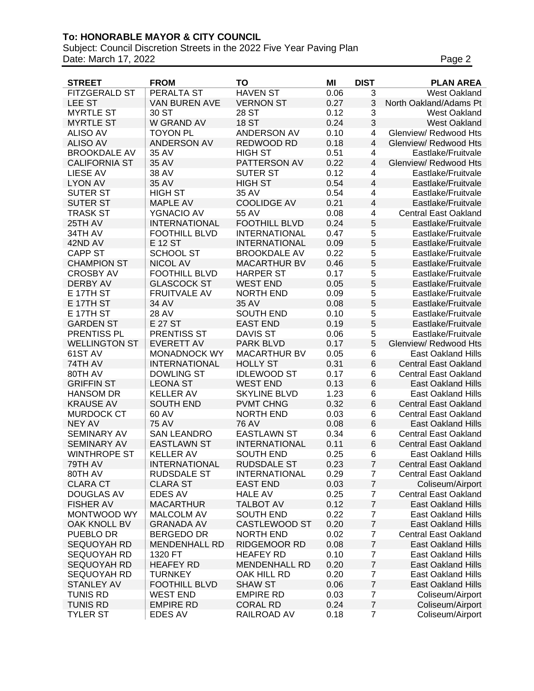## **To: HONORABLE MAYOR & CITY COUNCIL**

Subject: Council Discretion Streets in the 2022 Five Year Paving Plan Date: March 17, 2022 **Page 2** 

| <b>HAVEN ST</b><br>$\overline{3}$<br><b>FITZGERALD ST</b><br>PERALTA ST<br>0.06<br><b>West Oakland</b><br><b>LEE ST</b><br>0.27<br>3<br>VAN BUREN AVE<br><b>VERNON ST</b><br>North Oakland/Adams Pt<br>3<br><b>MYRTLE ST</b><br>30 ST<br>28 ST<br>0.12<br><b>West Oakland</b><br>3<br><b>18 ST</b><br><b>MYRTLE ST</b><br>W GRAND AV<br>0.24<br><b>West Oakland</b><br><b>ALISO AV</b><br><b>TOYON PL</b><br>ANDERSON AV<br>0.10<br>4<br>Glenview/ Redwood Hts<br><b>ALISO AV</b><br>ANDERSON AV<br>REDWOOD RD<br>0.18<br>$\overline{\mathcal{L}}$<br>Glenview/ Redwood Hts<br><b>BROOKDALE AV</b><br><b>HIGH ST</b><br>0.51<br>35 AV<br>4<br>Eastlake/Fruitvale<br>0.22<br><b>CALIFORNIA ST</b><br>35 AV<br>PATTERSON AV<br>$\overline{\mathbf{4}}$<br>Glenview/ Redwood Hts<br>0.12<br><b>LIESE AV</b><br>38 AV<br><b>SUTER ST</b><br>4<br>Eastlake/Fruitvale<br><b>LYON AV</b><br><b>HIGH ST</b><br>0.54<br>$\overline{\mathbf{4}}$<br>35 AV<br>Eastlake/Fruitvale<br><b>SUTER ST</b><br><b>HIGH ST</b><br>35 AV<br>0.54<br>4<br>Eastlake/Fruitvale<br><b>COOLIDGE AV</b><br>0.21<br>$\overline{\mathbf{4}}$<br><b>SUTER ST</b><br><b>MAPLE AV</b><br>Eastlake/Fruitvale<br>YGNACIO AV<br>55 AV<br>0.08<br><b>TRASK ST</b><br>4<br><b>Central East Oakland</b><br>5<br>0.24<br>25TH AV<br><b>INTERNATIONAL</b><br><b>FOOTHILL BLVD</b><br>Eastlake/Fruitvale<br>0.47<br>5<br>34TH AV<br><b>FOOTHILL BLVD</b><br><b>INTERNATIONAL</b><br>Eastlake/Fruitvale<br>5<br>0.09<br>42ND AV<br>E 12 ST<br><b>INTERNATIONAL</b><br>Eastlake/Fruitvale<br>5<br><b>CAPP ST</b><br><b>SCHOOL ST</b><br><b>BROOKDALE AV</b><br>0.22<br>Eastlake/Fruitvale<br>5<br><b>CHAMPION ST</b><br><b>NICOL AV</b><br><b>MACARTHUR BV</b><br>0.46<br>Eastlake/Fruitvale<br>5<br><b>FOOTHILL BLVD</b><br>0.17<br><b>CROSBY AV</b><br><b>HARPER ST</b><br>Eastlake/Fruitvale<br>5<br><b>DERBY AV</b><br><b>GLASCOCK ST</b><br><b>WEST END</b><br>0.05<br>Eastlake/Fruitvale<br>5<br>E 17TH ST<br>0.09<br><b>FRUITVALE AV</b><br><b>NORTH END</b><br>Eastlake/Fruitvale<br>5<br>E 17TH ST<br>35 AV<br>0.08<br>34 AV<br>Eastlake/Fruitvale<br>5<br><b>SOUTH END</b><br>0.10<br>E 17TH ST<br>28 AV<br>Eastlake/Fruitvale<br>5<br><b>EAST END</b><br>0.19<br><b>GARDEN ST</b><br>E 27 ST<br>Eastlake/Fruitvale<br>PRENTISS PL<br><b>PRENTISS ST</b><br><b>DAVIS ST</b><br>0.06<br>5<br>Eastlake/Fruitvale<br>5<br>0.17<br><b>WELLINGTON ST</b><br><b>EVERETT AV</b><br>PARK BLVD<br>Glenview/ Redwood Hts<br>0.05<br>61ST AV<br><b>MONADNOCK WY</b><br><b>MACARTHUR BV</b><br>6<br><b>East Oakland Hills</b><br>6<br>74TH AV<br><b>INTERNATIONAL</b><br><b>HOLLY ST</b><br>0.31<br><b>Central East Oakland</b><br><b>DOWLING ST</b><br><b>IDLEWOOD ST</b><br>0.17<br>6<br>80TH AV<br><b>Central East Oakland</b><br><b>GRIFFIN ST</b><br><b>LEONA ST</b><br><b>WEST END</b><br>0.13<br>6<br><b>East Oakland Hills</b><br><b>KELLER AV</b><br>1.23<br><b>HANSOM DR</b><br><b>SKYLINE BLVD</b><br>6<br><b>East Oakland Hills</b><br>6<br><b>KRAUSE AV</b><br><b>SOUTH END</b><br><b>PVMT CHNG</b><br>0.32<br><b>Central East Oakland</b><br><b>MURDOCK CT</b><br>60 AV<br><b>NORTH END</b><br>0.03<br>6<br><b>Central East Oakland</b><br>6<br><b>NEY AV</b><br><b>75 AV</b><br><b>76 AV</b><br>0.08<br><b>East Oakland Hills</b><br>SEMINARY AV<br><b>SAN LEANDRO</b><br><b>EASTLAWN ST</b><br>0.34<br>6<br><b>Central East Oakland</b><br>0.11<br>6<br><b>SEMINARY AV</b><br><b>EASTLAWN ST</b><br><b>INTERNATIONAL</b><br><b>Central East Oakland</b> |
|----------------------------------------------------------------------------------------------------------------------------------------------------------------------------------------------------------------------------------------------------------------------------------------------------------------------------------------------------------------------------------------------------------------------------------------------------------------------------------------------------------------------------------------------------------------------------------------------------------------------------------------------------------------------------------------------------------------------------------------------------------------------------------------------------------------------------------------------------------------------------------------------------------------------------------------------------------------------------------------------------------------------------------------------------------------------------------------------------------------------------------------------------------------------------------------------------------------------------------------------------------------------------------------------------------------------------------------------------------------------------------------------------------------------------------------------------------------------------------------------------------------------------------------------------------------------------------------------------------------------------------------------------------------------------------------------------------------------------------------------------------------------------------------------------------------------------------------------------------------------------------------------------------------------------------------------------------------------------------------------------------------------------------------------------------------------------------------------------------------------------------------------------------------------------------------------------------------------------------------------------------------------------------------------------------------------------------------------------------------------------------------------------------------------------------------------------------------------------------------------------------------------------------------------------------------------------------------------------------------------------------------------------------------------------------------------------------------------------------------------------------------------------------------------------------------------------------------------------------------------------------------------------------------------------------------------------------------------------------------------------------------------------------------------------------------------------------------------------------------------------------------------------------------------------------------------------------------------------------------------------------------------------------------------------------------------------------------------------------------------------------------------------------------------------------------------------------------------------------------------------------------------------|
|                                                                                                                                                                                                                                                                                                                                                                                                                                                                                                                                                                                                                                                                                                                                                                                                                                                                                                                                                                                                                                                                                                                                                                                                                                                                                                                                                                                                                                                                                                                                                                                                                                                                                                                                                                                                                                                                                                                                                                                                                                                                                                                                                                                                                                                                                                                                                                                                                                                                                                                                                                                                                                                                                                                                                                                                                                                                                                                                                                                                                                                                                                                                                                                                                                                                                                                                                                                                                                                                                                                            |
|                                                                                                                                                                                                                                                                                                                                                                                                                                                                                                                                                                                                                                                                                                                                                                                                                                                                                                                                                                                                                                                                                                                                                                                                                                                                                                                                                                                                                                                                                                                                                                                                                                                                                                                                                                                                                                                                                                                                                                                                                                                                                                                                                                                                                                                                                                                                                                                                                                                                                                                                                                                                                                                                                                                                                                                                                                                                                                                                                                                                                                                                                                                                                                                                                                                                                                                                                                                                                                                                                                                            |
|                                                                                                                                                                                                                                                                                                                                                                                                                                                                                                                                                                                                                                                                                                                                                                                                                                                                                                                                                                                                                                                                                                                                                                                                                                                                                                                                                                                                                                                                                                                                                                                                                                                                                                                                                                                                                                                                                                                                                                                                                                                                                                                                                                                                                                                                                                                                                                                                                                                                                                                                                                                                                                                                                                                                                                                                                                                                                                                                                                                                                                                                                                                                                                                                                                                                                                                                                                                                                                                                                                                            |
|                                                                                                                                                                                                                                                                                                                                                                                                                                                                                                                                                                                                                                                                                                                                                                                                                                                                                                                                                                                                                                                                                                                                                                                                                                                                                                                                                                                                                                                                                                                                                                                                                                                                                                                                                                                                                                                                                                                                                                                                                                                                                                                                                                                                                                                                                                                                                                                                                                                                                                                                                                                                                                                                                                                                                                                                                                                                                                                                                                                                                                                                                                                                                                                                                                                                                                                                                                                                                                                                                                                            |
|                                                                                                                                                                                                                                                                                                                                                                                                                                                                                                                                                                                                                                                                                                                                                                                                                                                                                                                                                                                                                                                                                                                                                                                                                                                                                                                                                                                                                                                                                                                                                                                                                                                                                                                                                                                                                                                                                                                                                                                                                                                                                                                                                                                                                                                                                                                                                                                                                                                                                                                                                                                                                                                                                                                                                                                                                                                                                                                                                                                                                                                                                                                                                                                                                                                                                                                                                                                                                                                                                                                            |
|                                                                                                                                                                                                                                                                                                                                                                                                                                                                                                                                                                                                                                                                                                                                                                                                                                                                                                                                                                                                                                                                                                                                                                                                                                                                                                                                                                                                                                                                                                                                                                                                                                                                                                                                                                                                                                                                                                                                                                                                                                                                                                                                                                                                                                                                                                                                                                                                                                                                                                                                                                                                                                                                                                                                                                                                                                                                                                                                                                                                                                                                                                                                                                                                                                                                                                                                                                                                                                                                                                                            |
|                                                                                                                                                                                                                                                                                                                                                                                                                                                                                                                                                                                                                                                                                                                                                                                                                                                                                                                                                                                                                                                                                                                                                                                                                                                                                                                                                                                                                                                                                                                                                                                                                                                                                                                                                                                                                                                                                                                                                                                                                                                                                                                                                                                                                                                                                                                                                                                                                                                                                                                                                                                                                                                                                                                                                                                                                                                                                                                                                                                                                                                                                                                                                                                                                                                                                                                                                                                                                                                                                                                            |
|                                                                                                                                                                                                                                                                                                                                                                                                                                                                                                                                                                                                                                                                                                                                                                                                                                                                                                                                                                                                                                                                                                                                                                                                                                                                                                                                                                                                                                                                                                                                                                                                                                                                                                                                                                                                                                                                                                                                                                                                                                                                                                                                                                                                                                                                                                                                                                                                                                                                                                                                                                                                                                                                                                                                                                                                                                                                                                                                                                                                                                                                                                                                                                                                                                                                                                                                                                                                                                                                                                                            |
|                                                                                                                                                                                                                                                                                                                                                                                                                                                                                                                                                                                                                                                                                                                                                                                                                                                                                                                                                                                                                                                                                                                                                                                                                                                                                                                                                                                                                                                                                                                                                                                                                                                                                                                                                                                                                                                                                                                                                                                                                                                                                                                                                                                                                                                                                                                                                                                                                                                                                                                                                                                                                                                                                                                                                                                                                                                                                                                                                                                                                                                                                                                                                                                                                                                                                                                                                                                                                                                                                                                            |
|                                                                                                                                                                                                                                                                                                                                                                                                                                                                                                                                                                                                                                                                                                                                                                                                                                                                                                                                                                                                                                                                                                                                                                                                                                                                                                                                                                                                                                                                                                                                                                                                                                                                                                                                                                                                                                                                                                                                                                                                                                                                                                                                                                                                                                                                                                                                                                                                                                                                                                                                                                                                                                                                                                                                                                                                                                                                                                                                                                                                                                                                                                                                                                                                                                                                                                                                                                                                                                                                                                                            |
|                                                                                                                                                                                                                                                                                                                                                                                                                                                                                                                                                                                                                                                                                                                                                                                                                                                                                                                                                                                                                                                                                                                                                                                                                                                                                                                                                                                                                                                                                                                                                                                                                                                                                                                                                                                                                                                                                                                                                                                                                                                                                                                                                                                                                                                                                                                                                                                                                                                                                                                                                                                                                                                                                                                                                                                                                                                                                                                                                                                                                                                                                                                                                                                                                                                                                                                                                                                                                                                                                                                            |
|                                                                                                                                                                                                                                                                                                                                                                                                                                                                                                                                                                                                                                                                                                                                                                                                                                                                                                                                                                                                                                                                                                                                                                                                                                                                                                                                                                                                                                                                                                                                                                                                                                                                                                                                                                                                                                                                                                                                                                                                                                                                                                                                                                                                                                                                                                                                                                                                                                                                                                                                                                                                                                                                                                                                                                                                                                                                                                                                                                                                                                                                                                                                                                                                                                                                                                                                                                                                                                                                                                                            |
|                                                                                                                                                                                                                                                                                                                                                                                                                                                                                                                                                                                                                                                                                                                                                                                                                                                                                                                                                                                                                                                                                                                                                                                                                                                                                                                                                                                                                                                                                                                                                                                                                                                                                                                                                                                                                                                                                                                                                                                                                                                                                                                                                                                                                                                                                                                                                                                                                                                                                                                                                                                                                                                                                                                                                                                                                                                                                                                                                                                                                                                                                                                                                                                                                                                                                                                                                                                                                                                                                                                            |
|                                                                                                                                                                                                                                                                                                                                                                                                                                                                                                                                                                                                                                                                                                                                                                                                                                                                                                                                                                                                                                                                                                                                                                                                                                                                                                                                                                                                                                                                                                                                                                                                                                                                                                                                                                                                                                                                                                                                                                                                                                                                                                                                                                                                                                                                                                                                                                                                                                                                                                                                                                                                                                                                                                                                                                                                                                                                                                                                                                                                                                                                                                                                                                                                                                                                                                                                                                                                                                                                                                                            |
|                                                                                                                                                                                                                                                                                                                                                                                                                                                                                                                                                                                                                                                                                                                                                                                                                                                                                                                                                                                                                                                                                                                                                                                                                                                                                                                                                                                                                                                                                                                                                                                                                                                                                                                                                                                                                                                                                                                                                                                                                                                                                                                                                                                                                                                                                                                                                                                                                                                                                                                                                                                                                                                                                                                                                                                                                                                                                                                                                                                                                                                                                                                                                                                                                                                                                                                                                                                                                                                                                                                            |
|                                                                                                                                                                                                                                                                                                                                                                                                                                                                                                                                                                                                                                                                                                                                                                                                                                                                                                                                                                                                                                                                                                                                                                                                                                                                                                                                                                                                                                                                                                                                                                                                                                                                                                                                                                                                                                                                                                                                                                                                                                                                                                                                                                                                                                                                                                                                                                                                                                                                                                                                                                                                                                                                                                                                                                                                                                                                                                                                                                                                                                                                                                                                                                                                                                                                                                                                                                                                                                                                                                                            |
|                                                                                                                                                                                                                                                                                                                                                                                                                                                                                                                                                                                                                                                                                                                                                                                                                                                                                                                                                                                                                                                                                                                                                                                                                                                                                                                                                                                                                                                                                                                                                                                                                                                                                                                                                                                                                                                                                                                                                                                                                                                                                                                                                                                                                                                                                                                                                                                                                                                                                                                                                                                                                                                                                                                                                                                                                                                                                                                                                                                                                                                                                                                                                                                                                                                                                                                                                                                                                                                                                                                            |
|                                                                                                                                                                                                                                                                                                                                                                                                                                                                                                                                                                                                                                                                                                                                                                                                                                                                                                                                                                                                                                                                                                                                                                                                                                                                                                                                                                                                                                                                                                                                                                                                                                                                                                                                                                                                                                                                                                                                                                                                                                                                                                                                                                                                                                                                                                                                                                                                                                                                                                                                                                                                                                                                                                                                                                                                                                                                                                                                                                                                                                                                                                                                                                                                                                                                                                                                                                                                                                                                                                                            |
|                                                                                                                                                                                                                                                                                                                                                                                                                                                                                                                                                                                                                                                                                                                                                                                                                                                                                                                                                                                                                                                                                                                                                                                                                                                                                                                                                                                                                                                                                                                                                                                                                                                                                                                                                                                                                                                                                                                                                                                                                                                                                                                                                                                                                                                                                                                                                                                                                                                                                                                                                                                                                                                                                                                                                                                                                                                                                                                                                                                                                                                                                                                                                                                                                                                                                                                                                                                                                                                                                                                            |
|                                                                                                                                                                                                                                                                                                                                                                                                                                                                                                                                                                                                                                                                                                                                                                                                                                                                                                                                                                                                                                                                                                                                                                                                                                                                                                                                                                                                                                                                                                                                                                                                                                                                                                                                                                                                                                                                                                                                                                                                                                                                                                                                                                                                                                                                                                                                                                                                                                                                                                                                                                                                                                                                                                                                                                                                                                                                                                                                                                                                                                                                                                                                                                                                                                                                                                                                                                                                                                                                                                                            |
|                                                                                                                                                                                                                                                                                                                                                                                                                                                                                                                                                                                                                                                                                                                                                                                                                                                                                                                                                                                                                                                                                                                                                                                                                                                                                                                                                                                                                                                                                                                                                                                                                                                                                                                                                                                                                                                                                                                                                                                                                                                                                                                                                                                                                                                                                                                                                                                                                                                                                                                                                                                                                                                                                                                                                                                                                                                                                                                                                                                                                                                                                                                                                                                                                                                                                                                                                                                                                                                                                                                            |
|                                                                                                                                                                                                                                                                                                                                                                                                                                                                                                                                                                                                                                                                                                                                                                                                                                                                                                                                                                                                                                                                                                                                                                                                                                                                                                                                                                                                                                                                                                                                                                                                                                                                                                                                                                                                                                                                                                                                                                                                                                                                                                                                                                                                                                                                                                                                                                                                                                                                                                                                                                                                                                                                                                                                                                                                                                                                                                                                                                                                                                                                                                                                                                                                                                                                                                                                                                                                                                                                                                                            |
|                                                                                                                                                                                                                                                                                                                                                                                                                                                                                                                                                                                                                                                                                                                                                                                                                                                                                                                                                                                                                                                                                                                                                                                                                                                                                                                                                                                                                                                                                                                                                                                                                                                                                                                                                                                                                                                                                                                                                                                                                                                                                                                                                                                                                                                                                                                                                                                                                                                                                                                                                                                                                                                                                                                                                                                                                                                                                                                                                                                                                                                                                                                                                                                                                                                                                                                                                                                                                                                                                                                            |
|                                                                                                                                                                                                                                                                                                                                                                                                                                                                                                                                                                                                                                                                                                                                                                                                                                                                                                                                                                                                                                                                                                                                                                                                                                                                                                                                                                                                                                                                                                                                                                                                                                                                                                                                                                                                                                                                                                                                                                                                                                                                                                                                                                                                                                                                                                                                                                                                                                                                                                                                                                                                                                                                                                                                                                                                                                                                                                                                                                                                                                                                                                                                                                                                                                                                                                                                                                                                                                                                                                                            |
|                                                                                                                                                                                                                                                                                                                                                                                                                                                                                                                                                                                                                                                                                                                                                                                                                                                                                                                                                                                                                                                                                                                                                                                                                                                                                                                                                                                                                                                                                                                                                                                                                                                                                                                                                                                                                                                                                                                                                                                                                                                                                                                                                                                                                                                                                                                                                                                                                                                                                                                                                                                                                                                                                                                                                                                                                                                                                                                                                                                                                                                                                                                                                                                                                                                                                                                                                                                                                                                                                                                            |
|                                                                                                                                                                                                                                                                                                                                                                                                                                                                                                                                                                                                                                                                                                                                                                                                                                                                                                                                                                                                                                                                                                                                                                                                                                                                                                                                                                                                                                                                                                                                                                                                                                                                                                                                                                                                                                                                                                                                                                                                                                                                                                                                                                                                                                                                                                                                                                                                                                                                                                                                                                                                                                                                                                                                                                                                                                                                                                                                                                                                                                                                                                                                                                                                                                                                                                                                                                                                                                                                                                                            |
|                                                                                                                                                                                                                                                                                                                                                                                                                                                                                                                                                                                                                                                                                                                                                                                                                                                                                                                                                                                                                                                                                                                                                                                                                                                                                                                                                                                                                                                                                                                                                                                                                                                                                                                                                                                                                                                                                                                                                                                                                                                                                                                                                                                                                                                                                                                                                                                                                                                                                                                                                                                                                                                                                                                                                                                                                                                                                                                                                                                                                                                                                                                                                                                                                                                                                                                                                                                                                                                                                                                            |
|                                                                                                                                                                                                                                                                                                                                                                                                                                                                                                                                                                                                                                                                                                                                                                                                                                                                                                                                                                                                                                                                                                                                                                                                                                                                                                                                                                                                                                                                                                                                                                                                                                                                                                                                                                                                                                                                                                                                                                                                                                                                                                                                                                                                                                                                                                                                                                                                                                                                                                                                                                                                                                                                                                                                                                                                                                                                                                                                                                                                                                                                                                                                                                                                                                                                                                                                                                                                                                                                                                                            |
|                                                                                                                                                                                                                                                                                                                                                                                                                                                                                                                                                                                                                                                                                                                                                                                                                                                                                                                                                                                                                                                                                                                                                                                                                                                                                                                                                                                                                                                                                                                                                                                                                                                                                                                                                                                                                                                                                                                                                                                                                                                                                                                                                                                                                                                                                                                                                                                                                                                                                                                                                                                                                                                                                                                                                                                                                                                                                                                                                                                                                                                                                                                                                                                                                                                                                                                                                                                                                                                                                                                            |
|                                                                                                                                                                                                                                                                                                                                                                                                                                                                                                                                                                                                                                                                                                                                                                                                                                                                                                                                                                                                                                                                                                                                                                                                                                                                                                                                                                                                                                                                                                                                                                                                                                                                                                                                                                                                                                                                                                                                                                                                                                                                                                                                                                                                                                                                                                                                                                                                                                                                                                                                                                                                                                                                                                                                                                                                                                                                                                                                                                                                                                                                                                                                                                                                                                                                                                                                                                                                                                                                                                                            |
|                                                                                                                                                                                                                                                                                                                                                                                                                                                                                                                                                                                                                                                                                                                                                                                                                                                                                                                                                                                                                                                                                                                                                                                                                                                                                                                                                                                                                                                                                                                                                                                                                                                                                                                                                                                                                                                                                                                                                                                                                                                                                                                                                                                                                                                                                                                                                                                                                                                                                                                                                                                                                                                                                                                                                                                                                                                                                                                                                                                                                                                                                                                                                                                                                                                                                                                                                                                                                                                                                                                            |
|                                                                                                                                                                                                                                                                                                                                                                                                                                                                                                                                                                                                                                                                                                                                                                                                                                                                                                                                                                                                                                                                                                                                                                                                                                                                                                                                                                                                                                                                                                                                                                                                                                                                                                                                                                                                                                                                                                                                                                                                                                                                                                                                                                                                                                                                                                                                                                                                                                                                                                                                                                                                                                                                                                                                                                                                                                                                                                                                                                                                                                                                                                                                                                                                                                                                                                                                                                                                                                                                                                                            |
|                                                                                                                                                                                                                                                                                                                                                                                                                                                                                                                                                                                                                                                                                                                                                                                                                                                                                                                                                                                                                                                                                                                                                                                                                                                                                                                                                                                                                                                                                                                                                                                                                                                                                                                                                                                                                                                                                                                                                                                                                                                                                                                                                                                                                                                                                                                                                                                                                                                                                                                                                                                                                                                                                                                                                                                                                                                                                                                                                                                                                                                                                                                                                                                                                                                                                                                                                                                                                                                                                                                            |
|                                                                                                                                                                                                                                                                                                                                                                                                                                                                                                                                                                                                                                                                                                                                                                                                                                                                                                                                                                                                                                                                                                                                                                                                                                                                                                                                                                                                                                                                                                                                                                                                                                                                                                                                                                                                                                                                                                                                                                                                                                                                                                                                                                                                                                                                                                                                                                                                                                                                                                                                                                                                                                                                                                                                                                                                                                                                                                                                                                                                                                                                                                                                                                                                                                                                                                                                                                                                                                                                                                                            |
|                                                                                                                                                                                                                                                                                                                                                                                                                                                                                                                                                                                                                                                                                                                                                                                                                                                                                                                                                                                                                                                                                                                                                                                                                                                                                                                                                                                                                                                                                                                                                                                                                                                                                                                                                                                                                                                                                                                                                                                                                                                                                                                                                                                                                                                                                                                                                                                                                                                                                                                                                                                                                                                                                                                                                                                                                                                                                                                                                                                                                                                                                                                                                                                                                                                                                                                                                                                                                                                                                                                            |
|                                                                                                                                                                                                                                                                                                                                                                                                                                                                                                                                                                                                                                                                                                                                                                                                                                                                                                                                                                                                                                                                                                                                                                                                                                                                                                                                                                                                                                                                                                                                                                                                                                                                                                                                                                                                                                                                                                                                                                                                                                                                                                                                                                                                                                                                                                                                                                                                                                                                                                                                                                                                                                                                                                                                                                                                                                                                                                                                                                                                                                                                                                                                                                                                                                                                                                                                                                                                                                                                                                                            |
| <b>WINTHROPE ST</b><br><b>KELLER AV</b><br>0.25<br><b>SOUTH END</b><br>6<br><b>East Oakland Hills</b>                                                                                                                                                                                                                                                                                                                                                                                                                                                                                                                                                                                                                                                                                                                                                                                                                                                                                                                                                                                                                                                                                                                                                                                                                                                                                                                                                                                                                                                                                                                                                                                                                                                                                                                                                                                                                                                                                                                                                                                                                                                                                                                                                                                                                                                                                                                                                                                                                                                                                                                                                                                                                                                                                                                                                                                                                                                                                                                                                                                                                                                                                                                                                                                                                                                                                                                                                                                                                      |
| $\overline{7}$<br>INTERNATIONAL<br>RUDSDALE ST<br>0.23<br><b>Central East Oakland</b><br>79TH AV                                                                                                                                                                                                                                                                                                                                                                                                                                                                                                                                                                                                                                                                                                                                                                                                                                                                                                                                                                                                                                                                                                                                                                                                                                                                                                                                                                                                                                                                                                                                                                                                                                                                                                                                                                                                                                                                                                                                                                                                                                                                                                                                                                                                                                                                                                                                                                                                                                                                                                                                                                                                                                                                                                                                                                                                                                                                                                                                                                                                                                                                                                                                                                                                                                                                                                                                                                                                                           |
| 80TH AV<br>RUDSDALE ST<br><b>INTERNATIONAL</b><br>0.29<br>7<br><b>Central East Oakland</b>                                                                                                                                                                                                                                                                                                                                                                                                                                                                                                                                                                                                                                                                                                                                                                                                                                                                                                                                                                                                                                                                                                                                                                                                                                                                                                                                                                                                                                                                                                                                                                                                                                                                                                                                                                                                                                                                                                                                                                                                                                                                                                                                                                                                                                                                                                                                                                                                                                                                                                                                                                                                                                                                                                                                                                                                                                                                                                                                                                                                                                                                                                                                                                                                                                                                                                                                                                                                                                 |
| <b>CLARA CT</b><br><b>EAST END</b><br>0.03<br>7<br>Coliseum/Airport<br><b>CLARA ST</b>                                                                                                                                                                                                                                                                                                                                                                                                                                                                                                                                                                                                                                                                                                                                                                                                                                                                                                                                                                                                                                                                                                                                                                                                                                                                                                                                                                                                                                                                                                                                                                                                                                                                                                                                                                                                                                                                                                                                                                                                                                                                                                                                                                                                                                                                                                                                                                                                                                                                                                                                                                                                                                                                                                                                                                                                                                                                                                                                                                                                                                                                                                                                                                                                                                                                                                                                                                                                                                     |
| <b>EDES AV</b><br>0.25<br>$\overline{7}$<br><b>Central East Oakland</b><br>DOUGLAS AV<br><b>HALE AV</b>                                                                                                                                                                                                                                                                                                                                                                                                                                                                                                                                                                                                                                                                                                                                                                                                                                                                                                                                                                                                                                                                                                                                                                                                                                                                                                                                                                                                                                                                                                                                                                                                                                                                                                                                                                                                                                                                                                                                                                                                                                                                                                                                                                                                                                                                                                                                                                                                                                                                                                                                                                                                                                                                                                                                                                                                                                                                                                                                                                                                                                                                                                                                                                                                                                                                                                                                                                                                                    |
| 0.12<br>$\boldsymbol{7}$<br><b>FISHER AV</b><br><b>MACARTHUR</b><br><b>TALBOT AV</b><br><b>East Oakland Hills</b>                                                                                                                                                                                                                                                                                                                                                                                                                                                                                                                                                                                                                                                                                                                                                                                                                                                                                                                                                                                                                                                                                                                                                                                                                                                                                                                                                                                                                                                                                                                                                                                                                                                                                                                                                                                                                                                                                                                                                                                                                                                                                                                                                                                                                                                                                                                                                                                                                                                                                                                                                                                                                                                                                                                                                                                                                                                                                                                                                                                                                                                                                                                                                                                                                                                                                                                                                                                                          |
| 0.22<br>MONTWOOD WY<br>$\overline{7}$<br>MALCOLM AV<br><b>SOUTH END</b><br><b>East Oakland Hills</b>                                                                                                                                                                                                                                                                                                                                                                                                                                                                                                                                                                                                                                                                                                                                                                                                                                                                                                                                                                                                                                                                                                                                                                                                                                                                                                                                                                                                                                                                                                                                                                                                                                                                                                                                                                                                                                                                                                                                                                                                                                                                                                                                                                                                                                                                                                                                                                                                                                                                                                                                                                                                                                                                                                                                                                                                                                                                                                                                                                                                                                                                                                                                                                                                                                                                                                                                                                                                                       |
| 0.20<br>$\overline{7}$<br>OAK KNOLL BV<br><b>GRANADA AV</b><br><b>CASTLEWOOD ST</b><br><b>East Oakland Hills</b>                                                                                                                                                                                                                                                                                                                                                                                                                                                                                                                                                                                                                                                                                                                                                                                                                                                                                                                                                                                                                                                                                                                                                                                                                                                                                                                                                                                                                                                                                                                                                                                                                                                                                                                                                                                                                                                                                                                                                                                                                                                                                                                                                                                                                                                                                                                                                                                                                                                                                                                                                                                                                                                                                                                                                                                                                                                                                                                                                                                                                                                                                                                                                                                                                                                                                                                                                                                                           |
| $\boldsymbol{7}$<br>PUEBLO DR<br><b>BERGEDO DR</b><br><b>NORTH END</b><br>0.02<br><b>Central East Oakland</b>                                                                                                                                                                                                                                                                                                                                                                                                                                                                                                                                                                                                                                                                                                                                                                                                                                                                                                                                                                                                                                                                                                                                                                                                                                                                                                                                                                                                                                                                                                                                                                                                                                                                                                                                                                                                                                                                                                                                                                                                                                                                                                                                                                                                                                                                                                                                                                                                                                                                                                                                                                                                                                                                                                                                                                                                                                                                                                                                                                                                                                                                                                                                                                                                                                                                                                                                                                                                              |
| $\overline{7}$<br><b>MENDENHALL RD</b><br>RIDGEMOOR RD<br>0.08<br>East Oakland Hills<br>SEQUOYAH RD                                                                                                                                                                                                                                                                                                                                                                                                                                                                                                                                                                                                                                                                                                                                                                                                                                                                                                                                                                                                                                                                                                                                                                                                                                                                                                                                                                                                                                                                                                                                                                                                                                                                                                                                                                                                                                                                                                                                                                                                                                                                                                                                                                                                                                                                                                                                                                                                                                                                                                                                                                                                                                                                                                                                                                                                                                                                                                                                                                                                                                                                                                                                                                                                                                                                                                                                                                                                                        |
| $\overline{7}$<br><b>HEAFEY RD</b><br>0.10<br><b>East Oakland Hills</b><br>SEQUOYAH RD<br>1320 FT                                                                                                                                                                                                                                                                                                                                                                                                                                                                                                                                                                                                                                                                                                                                                                                                                                                                                                                                                                                                                                                                                                                                                                                                                                                                                                                                                                                                                                                                                                                                                                                                                                                                                                                                                                                                                                                                                                                                                                                                                                                                                                                                                                                                                                                                                                                                                                                                                                                                                                                                                                                                                                                                                                                                                                                                                                                                                                                                                                                                                                                                                                                                                                                                                                                                                                                                                                                                                          |
| $\boldsymbol{7}$<br>SEQUOYAH RD<br><b>HEAFEY RD</b><br><b>MENDENHALL RD</b><br>0.20<br><b>East Oakland Hills</b>                                                                                                                                                                                                                                                                                                                                                                                                                                                                                                                                                                                                                                                                                                                                                                                                                                                                                                                                                                                                                                                                                                                                                                                                                                                                                                                                                                                                                                                                                                                                                                                                                                                                                                                                                                                                                                                                                                                                                                                                                                                                                                                                                                                                                                                                                                                                                                                                                                                                                                                                                                                                                                                                                                                                                                                                                                                                                                                                                                                                                                                                                                                                                                                                                                                                                                                                                                                                           |
| 0.20<br>SEQUOYAH RD<br><b>TURNKEY</b><br>OAK HILL RD<br>7<br><b>East Oakland Hills</b>                                                                                                                                                                                                                                                                                                                                                                                                                                                                                                                                                                                                                                                                                                                                                                                                                                                                                                                                                                                                                                                                                                                                                                                                                                                                                                                                                                                                                                                                                                                                                                                                                                                                                                                                                                                                                                                                                                                                                                                                                                                                                                                                                                                                                                                                                                                                                                                                                                                                                                                                                                                                                                                                                                                                                                                                                                                                                                                                                                                                                                                                                                                                                                                                                                                                                                                                                                                                                                     |
| STANLEY AV<br><b>FOOTHILL BLVD</b><br><b>SHAW ST</b><br>0.06<br><b>East Oakland Hills</b><br>7                                                                                                                                                                                                                                                                                                                                                                                                                                                                                                                                                                                                                                                                                                                                                                                                                                                                                                                                                                                                                                                                                                                                                                                                                                                                                                                                                                                                                                                                                                                                                                                                                                                                                                                                                                                                                                                                                                                                                                                                                                                                                                                                                                                                                                                                                                                                                                                                                                                                                                                                                                                                                                                                                                                                                                                                                                                                                                                                                                                                                                                                                                                                                                                                                                                                                                                                                                                                                             |
| 0.03<br>Coliseum/Airport<br>TUNIS RD<br><b>WEST END</b><br>EMPIRE RD<br>7                                                                                                                                                                                                                                                                                                                                                                                                                                                                                                                                                                                                                                                                                                                                                                                                                                                                                                                                                                                                                                                                                                                                                                                                                                                                                                                                                                                                                                                                                                                                                                                                                                                                                                                                                                                                                                                                                                                                                                                                                                                                                                                                                                                                                                                                                                                                                                                                                                                                                                                                                                                                                                                                                                                                                                                                                                                                                                                                                                                                                                                                                                                                                                                                                                                                                                                                                                                                                                                  |
| EMPIRE RD<br>0.24<br>$\overline{7}$<br>Coliseum/Airport<br>TUNIS RD<br>CORAL RD                                                                                                                                                                                                                                                                                                                                                                                                                                                                                                                                                                                                                                                                                                                                                                                                                                                                                                                                                                                                                                                                                                                                                                                                                                                                                                                                                                                                                                                                                                                                                                                                                                                                                                                                                                                                                                                                                                                                                                                                                                                                                                                                                                                                                                                                                                                                                                                                                                                                                                                                                                                                                                                                                                                                                                                                                                                                                                                                                                                                                                                                                                                                                                                                                                                                                                                                                                                                                                            |
| $\boldsymbol{7}$<br><b>EDES AV</b><br>RAILROAD AV<br>0.18<br>Coliseum/Airport<br><b>TYLER ST</b>                                                                                                                                                                                                                                                                                                                                                                                                                                                                                                                                                                                                                                                                                                                                                                                                                                                                                                                                                                                                                                                                                                                                                                                                                                                                                                                                                                                                                                                                                                                                                                                                                                                                                                                                                                                                                                                                                                                                                                                                                                                                                                                                                                                                                                                                                                                                                                                                                                                                                                                                                                                                                                                                                                                                                                                                                                                                                                                                                                                                                                                                                                                                                                                                                                                                                                                                                                                                                           |